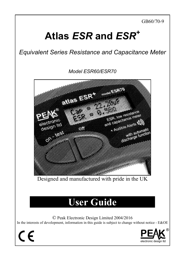GB60/70-9

# **Atlas** *ESR* **and** *ESR<sup>+</sup>*

*Equivalent Series Resistance and Capacitance Meter* 

*Model ESR60/ESR70* 

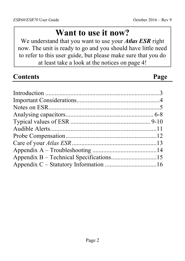# **Want to use it now?**

We understand that you want to use your *Atlas ESR* right now. The unit is ready to go and you should have little need to refer to this user guide, but please make sure that you do at least take a look at the notices on page 4!

| <b>Contents</b> | Page |
|-----------------|------|
|                 |      |
|                 |      |
|                 |      |
|                 |      |
|                 |      |
|                 |      |
|                 |      |
|                 |      |
|                 |      |
|                 |      |
|                 |      |
|                 |      |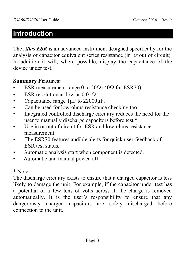#### **Introduction**

The *Atlas ESR* is an advanced instrument designed specifically for the analysis of capacitor equivalent series resistance (in *or* out of circuit). In addition it will, where possible, display the capacitance of the device under test.

#### **Summary Features:**

- ESR measurement range 0 to  $20\Omega$  (40 $\Omega$  for ESR70).
- ESR resolution as low as  $0.01\Omega$ .
- Capacitance range 1uF to 22000uF.
- Can be used for low-ohms resistance checking too.
- Integrated controlled discharge circuitry reduces the need for the user to manually discharge capacitors before test.\*
- Use in or out of circuit for ESR and low-ohms resistance measurement.
- The ESR70 features audible alerts for quick user-feedback of ESR test status.
- Automatic analysis start when component is detected.
- Automatic and manual power-off.

\* Note:

The discharge circuitry exists to ensure that a charged capacitor is less likely to damage the unit. For example, if the capacitor under test has a potential of a few tens of volts across it, the charge is removed automatically. It is the user's responsibility to ensure that any dangerously charged capacitors are safely discharged before connection to the unit.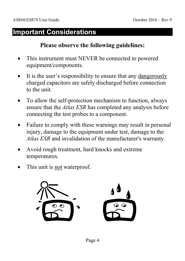### **Important Considerations**

#### **Please observe the following guidelines:**

- This instrument must NEVER be connected to powered equipment/components.
- It is the user's responsibility to ensure that any dangerously charged capacitors are safely discharged before connection to the unit.
- To allow the self-protection mechanism to function, always ensure that the *Atlas ESR* has completed any analysis before connecting the test probes to a component.
- Failure to comply with these warnings may result in personal injury, damage to the equipment under test, damage to the *Atlas ESR* and invalidation of the manufacturer's warranty.
- Avoid rough treatment, hard knocks and extreme temperatures.
- This unit is not waterproof.

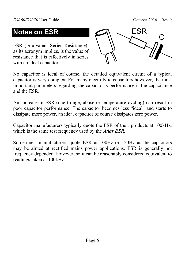### **Notes on ESR**

ESR (Equivalent Series Resistance), as its acronym implies, is the value of resistance that is effectively in series with an ideal capacitor.



No capacitor is ideal of course, the detailed equivalent circuit of a typical capacitor is very complex. For many electrolytic capacitors however, the most important parameters regarding the capacitor's performance is the capacitance and the ESR.

An increase in ESR (due to age, abuse or temperature cycling) can result in poor capacitor performance. The capacitor becomes less "ideal" and starts to dissipate more power, an ideal capacitor of course dissipates zero power.

Capacitor manufacturers typically quote the ESR of their products at 100kHz, which is the same test frequency used by the *Atlas ESR.*

Sometimes, manufacturers quote ESR at 100Hz or 120Hz as the capacitors may be aimed at rectified mains power applications. ESR is generally not frequency dependent however, so it can be reasonably considered equivalent to readings taken at 100kHz.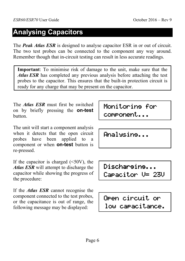### **Analysing Capacitors**

The **Peak Atlas ESR** is designed to analyse capacitor ESR in or out of circuit. The two test probes can be connected to the component any way around. Remember though that in-circuit testing can result in less accurate readings.

**Important**: To minimise risk of damage to the unit, make sure that the *Atlas ESR* has completed any previous analysis before attaching the test probes to the capacitor. This ensures that the built-in protection circuit is ready for any charge that may be present on the capacitor.

The *Atlas ESR* must first be switched on by briefly pressing the **on-test** button.

The unit will start a component analysis when it detects that the open circuit probes have been applied to a component or when **on-test** button is re-pressed.

If the capacitor is charged  $(\leq 50V)$ , the *Atlas ESR* will attempt to discharge the capacitor while showing the progress of the procedure:

If the *Atlas ESR* cannot recognise the component connected to the test probes, or the capacitance is out of range, the following message may be displayed:

Monitoring for component...

Analysing...

Discharging... Capacitor V= 23V

Open circuit or low capacitance.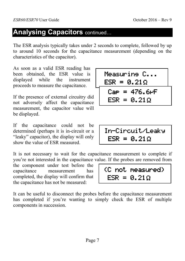#### **Analysing Capacitors continued...**

The ESR analysis typically takes under 2 seconds to complete, followed by up to around 10 seconds for the capacitance measurement (depending on the characteristics of the capacitor).

As soon as a valid ESR reading has been obtained, the ESR value is displayed while the instrument proceeds to measure the capacitance.

If the presence of external circuitry did not adversely affect the capacitance measurement, the capacitor value will be displayed.

If the capacitance could not be determined (perhaps it is in-circuit or a "leaky" capacitor), the display will only show the value of ESR measured.

It is not necessary to wait for the capacitance measurement to complete if you're not interested in the capacitance value. If the probes are removed from

the component under test before the capacitance measurement has completed, the display will confirm that the capacitance has not be measured:

It can be useful to disconnect the probes before the capacitance measurement has completed if you're wanting to simply check the ESR of multiple components in succession.

| Measurine C<br>$ESR = 0.21 \Omega$ |
|------------------------------------|
| $Cap = 476.6 \text{pF}$            |
| $ESR = 0.21 \Omega$                |

In-Circuit/Leaky  $ESR = 0.21 \Omega$ 

 $(C \text{ not measured})$  $ESR = 0.21$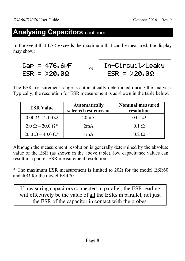### **Analysing Capacitors continued...**

In the event that ESR exceeds the maximum that can be measured, the display may show:

$$
Cap = 476.6PF
$$

$$
ESR = \geq 20.0\Omega
$$

or

| In-Circuit/Leaky   |  |
|--------------------|--|
| $ESR = 20.0\Omega$ |  |

The ESR measurement range is automatically determined during the analysis. Typically, the resolution for ESR measurement is as shown in the table below:

| <b>ESR Value</b>              | <b>Automatically</b><br>selected test current | <b>Nominal measured</b><br>resolution |
|-------------------------------|-----------------------------------------------|---------------------------------------|
| $0.00 \Omega - 2.00 \Omega$   | 20mA                                          | $0.01 \Omega$                         |
| $2.0 \Omega - 20.0 \Omega^*$  | 2mA                                           | $0.1 \Omega$                          |
| $20.0 \Omega - 40.0 \Omega^*$ | 1 m A                                         | $0.2 \Omega$                          |

Although the measurement resolution is generally determined by the absolute value of the ESR (as shown in the above table), low capacitance values can result in a poorer ESR measurement resolution.

\* The maximum ESR measurement is limited to  $20\Omega$  for the model ESR60 and 40Ω for the model ESR70.

If measuring capacitors connected in parallel, the ESR reading will effectively be the value of all the ESRs in parallel, not just the ESR of the capacitor in contact with the probes.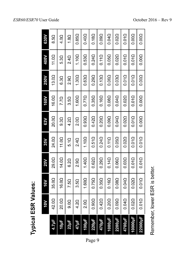| <b>Typical ESR Values:</b> |  |     |        |    |  |
|----------------------------|--|-----|--------|----|--|
|                            |  | 25V | $35$ V | 63 |  |

|                | <b>A0L</b>        | <b>16V</b>        | <b>25V</b>   | 35V               | 63V              | <b>160V</b>       | <b>250V</b>      | <b>400V</b>     | 630V         |
|----------------|-------------------|-------------------|--------------|-------------------|------------------|-------------------|------------------|-----------------|--------------|
| $4.7 \mu F$    | 42.00             | 35.0Q             | 29.0Q        | 24.00             | 20.0Q            | 16.00             | 13.0Q            | 11.00           | 8.5Q         |
| $10 \mu F$     | 20.0Q             | 16.0Q             | $14.0\Omega$ | 11.00             | 9.3 <sub>Ω</sub> | 7.7Q              | 6.3 <sub>Ω</sub> | 5.3Q            | $4.0\Omega$  |
| $22\mu F$      | 9.0 <sub>0</sub>  | 7.5Q              | $6.2\Omega$  | $5.1\Omega$       | 4.2Q             | 3.5 <sub>0</sub>  | $2.9\Omega$      | 24 <sub>0</sub> | $1.8\Omega$  |
| $47 \mu F$     | 4.20              | 3.5 <sub>Ω</sub>  | $2.9\Omega$  | $2.4\Omega$       | 2.0 <sub>Q</sub> | 1.60Q             | $1.30\Omega$     | 1.10Q           | $0.85\Omega$ |
| 100µF          | 2.0 <sub>Q</sub>  | 1.60Q             | 1.40Q        | 1.10Q             | $0.93\Omega$     | $0.77\Omega$      | 0.63Q            | $0.53\Omega$    | 0.40Q        |
| $220\mu$ F     | 0.90 <sub>Ω</sub> | $0.75\Omega$      | $0.62\Omega$ | $0.51\Omega$      | $0.42\Omega$     | $0.35\Omega$      | $0.29\Omega$     | $0.24\Omega$    | $0.18\Omega$ |
| 470µF          | $0.42\Omega$      | 0.35Q             | $0.29\Omega$ | $0.24\Omega$      | $0.20\Omega$     | $0.16\Omega$      | $0.13\Omega$     | $0.11\Omega$    | 0.09Q        |
| 1000uF         | 0.20Q             | 0.16Q             | $0.14\Omega$ | $0.11\Omega$      | $0.09\Omega$     | 0.08Q             | 0.060            | 0.050           | 0.04Ω        |
| <b>2200uF</b>  | 0.09Q             | 0.08 <sub>0</sub> | 0.060        | 0.05 <sub>0</sub> | 0.04Ω            | 0.04Ω             | 0.03Q            | 0.02Q           | 0.020        |
| 4700µF         | $0.04\Omega$      | $0.04\Omega$      | $0.03\Omega$ | $0.02\Omega$      | $0.02\Omega$     | $0.02\Omega$      | $0.01\Omega$     | $0.01\Omega$    | $0.01\Omega$ |
| 10000µF        | $0.02\Omega$      | $0.02\Omega$      | $0.01\Omega$ | $0.01\Omega$      | $0.01\Omega$     | $0.01\Omega$      | $0.01\Omega$     | $0.01\Omega$    | 0.00Q        |
| <b>22000LF</b> | 0.01 <sub>Ω</sub> | $0.01\Omega$      | $0.01\Omega$ | $0.01\Omega$      | $0.00\Omega$     | 0.00 <sub>Ω</sub> | $0.00\Omega$     | $0.00\Omega$    | 0.00Q        |

Remember, lower ESR is better.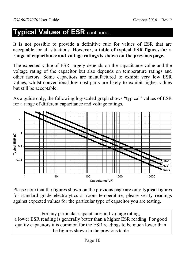### **Typical Values of ESR continued...**

It is not possible to provide a definitive rule for values of ESR that are acceptable for all situations. **However, a table of typical ESR figures for a range of capacitance and voltage ratings is shown on the previous page.**

The expected value of ESR largely depends on the capacitance value and the voltage rating of the capacitor but also depends on temperature ratings and other factors. Some capacitors are manufactured to exhibit very low ESR values, whilst conventional low cost parts are likely to exhibit higher values but still be acceptable.

As a guide only, the following log-scaled graph shows "typical" values of ESR for a range of different capacitance and voltage ratings.



Please note that the figures shown on the previous page are only **typical** figures for standard grade electrolytics at room temperature, please verify readings against expected values for the particular type of capacitor you are testing.

For any particular capacitance and voltage rating, a lower ESR reading is generally better than a higher ESR reading. For good quality capacitors it is common for the ESR readings to be much lower than the figures shown in the previous table.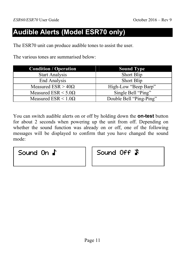### **Audible Alerts (Model ESR70 only)**

The ESR70 unit can produce audible tones to assist the user.

The various tones are summarised below:

| <b>Condition / Operation</b>     | <b>Sound Type</b>       |
|----------------------------------|-------------------------|
| <b>Start Analysis</b>            | <b>Short Blip</b>       |
| End Analysis                     | <b>Short Blip</b>       |
| Measured $ESR > 40\Omega$        | High-Low "Beep Barp"    |
| Measured ESR $\leq$ 5.0 $\Omega$ | Single Bell "Ping"      |
| Measured ESR $\leq 1.0\Omega$    | Double Bell "Ping-Ping" |

You can switch audible alerts on or off by holding down the **on-test** button for about 2 seconds when powering up the unit from off. Depending on whether the sound function was already on or off, one of the following messages will be displayed to confirm that you have changed the sound mode:

Sound On  $\Gamma$  | Sound Off  $\blacktriangleright$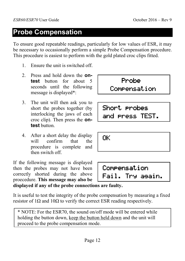### **Probe Compensation**

To ensure good repeatable readings, particularly for low values of ESR, it may be necessary to occasionally perform a simple Probe Compensation procedure. This procedure is easiest to perform with the gold plated croc clips fitted.

- 1. Ensure the unit is switched off.
- 2. Press and hold down the **ontest** button for about 5 seconds until the following message is displayed\*:
- 3. The unit will then ask you to short the probes together (by interlocking the jaws of each croc clip). Then press the **ontest** button.
- 4. After a short delay the display will confirm that the procedure is complete and then switch off.

If the following message is displayed then the probes may not have been correctly shorted during the above proecedure. **This message may also be displayed if any of the probe connections are faulty.**

It is useful to test the integrity of the probe compensation by measuring a fixed resistor of  $1\Omega$  and  $10\Omega$  to verify the correct ESR reading respectively.

\* NOTE: For the ESR70, the sound on/off mode will be entered while holding the button down, keep the button held down and the unit will proceed to the probe compensation mode.

# **Probe** Compensation

Short probes and press TEST.

OK

Compensation Fail. Try again.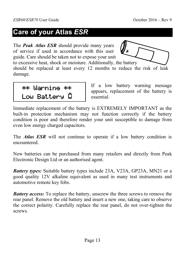### **Care of your Atlas** *ESR*

The *Peak Atlas ESR* should provide many years of service if used in accordance with this user guide. Care should be taken not to expose your unit



to excessive heat, shock or moisture. Additionally, the battery should be replaced at least every 12 months to reduce the risk of leak damage.

 \*\* Warning \*\* \*\* Warning \*\* Low Battery

If a low battery warning message appears, replacement of the battery is essential.

Immediate replacement of the battery is EXTREMELY IMPORTANT as the built-in protection mechanism may not function correctly if the battery condition is poor and therefore render your unit susceptible to damage from even low energy charged capacitors.

The *Atlas ESR* will not continue to operate if a low battery condition is encountered.

New batteries can be purchased from many retailers and directly from Peak Electronic Design Ltd or an authorised agent.

*Battery types:* Suitable battery types include 23A, V23A, GP23A, MN21 or a good quality 12V alkaline equivalent as used in many test instruments and automotive remote key fobs.

*Battery access:* To replace the battery, unscrew the three screws to remove the rear panel. Remove the old battery and insert a new one, taking care to observe the correct polarity. Carefully replace the rear panel, do not over-tighten the screws.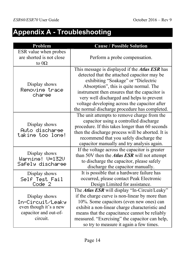# **Appendix A - Troubleshooting**

| Problem                                                                                          | <b>Cause / Possible Solution</b>                                                                                                                                                                                                                                                                                                                                                      |
|--------------------------------------------------------------------------------------------------|---------------------------------------------------------------------------------------------------------------------------------------------------------------------------------------------------------------------------------------------------------------------------------------------------------------------------------------------------------------------------------------|
| ESR value when probes<br>are shorted is not close<br>to $0\Omega$                                | Perform a probe compensation.                                                                                                                                                                                                                                                                                                                                                         |
| Display shows<br>Removine trace<br>charse                                                        | This message is displayed if the <i>Atlas ESR</i> has<br>detected that the attached capacitor may be<br>exhibiting "Soakage" or "Dielectric<br>Absorption", this is quite normal. The<br>instrument then ensures that the capacitor is<br>very well discharged and helps to prevent<br>voltage developing across the capacitor after<br>the normal discharge procedure has completed. |
| Display shows<br>Auto discharse<br>takine too lone!                                              | The unit attempts to remove charge from the<br>capacitor using a controlled discharge<br>procedure. If this takes longer than 60 seconds<br>then the discharge process will be aborted. It is<br>recommend that you safely discharge the<br>capacitor manually and try analysis again.                                                                                                |
| Display shows<br>Warning! V=132V<br>Safely discharge                                             | If the voltage across the capacitor is greater<br>than 50V then the <i>Atlas ESR</i> will not attempt<br>to discharge the capacitor, please safely<br>discharge the capacitor manually.                                                                                                                                                                                               |
| Display shows<br>Self Test Fail<br>Code <sub>2</sub>                                             | It is possible that a hardware failure has<br>occurred, please contact Peak Electronic<br>Design Limited for assistance.                                                                                                                                                                                                                                                              |
| Display shows<br>In-Circuit/Leaky<br>even though it's a new<br>capacitor and out-of-<br>circuit. | The <i>Atlas ESR</i> will display "In-Circuit/Leaky"<br>if the charge curve is non-linear by more than<br>10%. Some capacitors (even new ones) can<br>exhibit a non-linear charge characteristic and<br>means that the capacitance cannot be reliably<br>measured. "Exercising" the capacitor can help,<br>so try to measure it again a few times.                                    |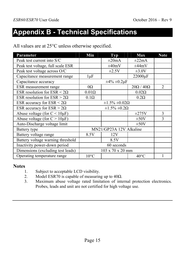### **Appendix B - Technical Specifications**

All values are at 25°C unless otherwise specified.

| <b>Parameter</b>                      | <b>Min</b>              | <b>Typ</b>                 | <b>Max</b>          | <b>Note</b>    |
|---------------------------------------|-------------------------|----------------------------|---------------------|----------------|
| Peak test current into S/C            |                         | $\pm 20$ mA                | $\pm 22$ mA         |                |
| Peak test voltage, full scale ESR     |                         | $\pm 40$ mV                | $\pm 44$ mV         |                |
| Peak test voltage across O/C          |                         | $\pm 2.5V$                 | $\pm 3.0V$          |                |
| Capacitance measurement range         | $1 \mu F$               |                            | 22000µF             |                |
| Capacitance accuracy                  |                         | $\pm 4\% \pm 0.2 \mu F$    |                     |                |
| ESR measurement range                 | $0\Omega$               |                            | $20\Omega/40\Omega$ | $\overline{2}$ |
| ESR resolution for ESR $\leq 2\Omega$ | $0.01\Omega$            |                            | $0.02\Omega$        |                |
| ESR resolution for $ESR > 2\Omega$    | $0.1\Omega$             |                            | $0.2\Omega$         |                |
| ESR accuracy for $ESR < 2\Omega$      |                         | $\pm 1.5\% \pm 0.02\Omega$ |                     |                |
| ESR accuracy for $ESR > 2\Omega$      |                         | $\pm 1.5\% \pm 0.2\Omega$  |                     |                |
| Abuse voltage (for $C < 10 \mu F$ )   |                         |                            | $\pm 275V$          | 3              |
| Abuse voltage (for $C > 10 \mu F$ )   |                         |                            | $\pm 50V$           | 3              |
| Auto-Discharge voltage limit          |                         |                            | $\pm 50V$           |                |
| Battery type                          | MN21/GP23A 12V Alkaline |                            |                     |                |
| Battery voltage range                 | 8.5V                    | 12V                        |                     |                |
| Battery voltage warning threshold     |                         | 8.5V                       |                     |                |
| Inactivity power-down period          | 60 seconds              |                            |                     |                |
| Dimensions (excluding test leads)     |                         | 103 x 70 x 20 mm           |                     |                |
| Operating temperature range           | $10^{\circ}$ C          |                            | $40^{\circ}$ C      |                |

#### **Notes**

- 1. Subject to acceptable LCD visibility.
- 2. Model ESR70 is capable of measuring up to  $40\Omega$ .
- 3. Maximum abuse voltage rated limitation of internal protection electronics. Probes, leads and unit are not certified for high voltage use.